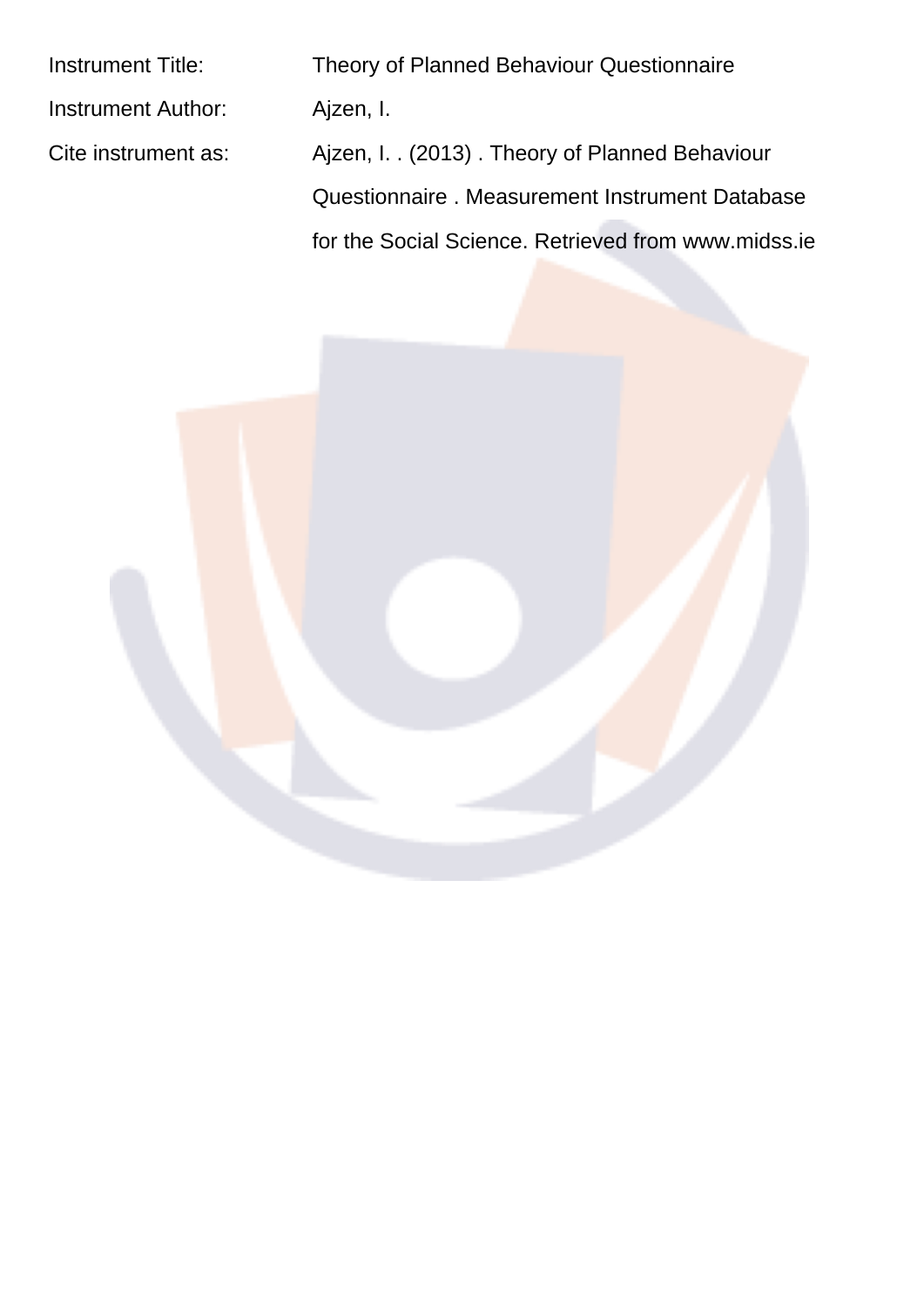| <b>Instrument Title:</b> | <b>Theory of Planned Behaviour Questionnaire</b>    |
|--------------------------|-----------------------------------------------------|
| Instrument Author:       | Ajzen, I.                                           |
| Cite instrument as:      | Ajzen, I. . (2013). Theory of Planned Behaviour     |
|                          | Questionnaire . Measurement Instrument Database     |
|                          | for the Social Science, Retrieved from www.midss.ie |
|                          |                                                     |

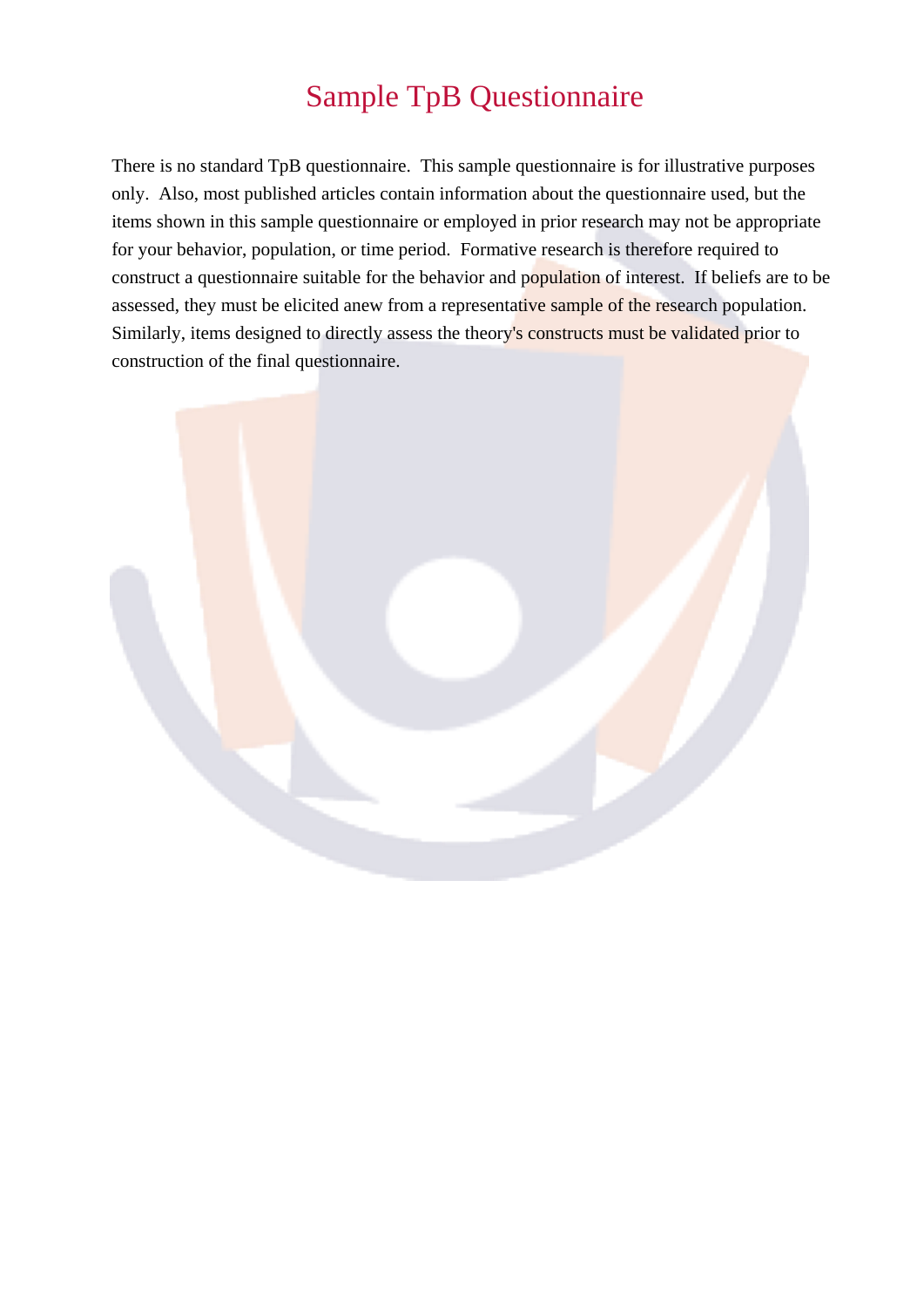# **Sample TpB Questionnaire**

There is no standard TpB questionnaire. This sample questionnaire is for illustrative purposes only. Also, most published articles contain information about the questionnaire used, but the items shown in this sample questionnaire or employed in prior research may not be appropriate for your behavior, population, or time period. Formative research is therefore required to construct a questionnaire suitable for the behavior and population of interest. If beliefs are to be assessed, they must be elicited anew from a representative sample of the research population. Similarly, items designed to directly assess the theory's constructs must be validated prior to construction of the final questionnaire.

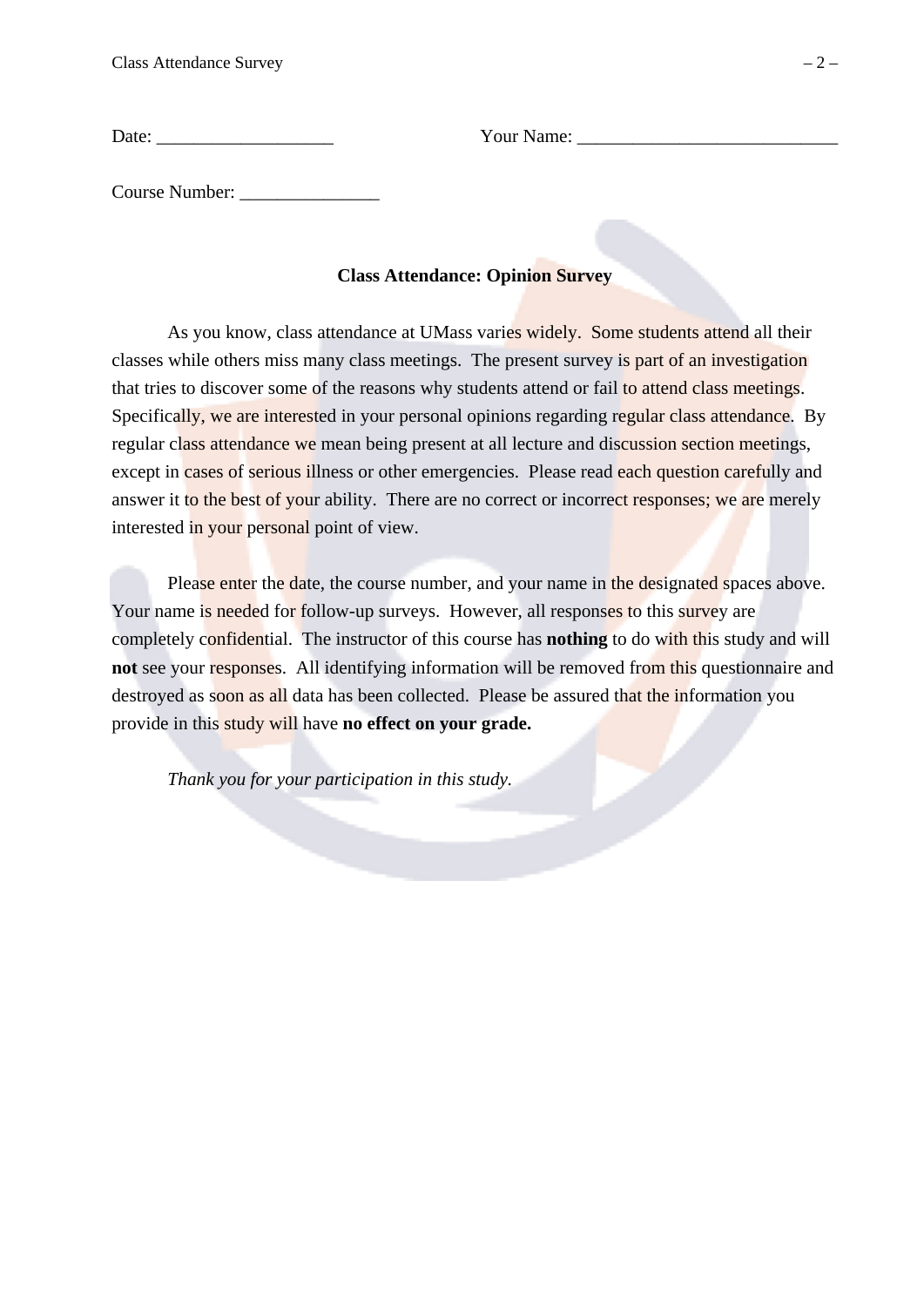**Class Attendance Survey** 

Course Number:

## **Class Attendance: Opinion Survey**

As you know, class attendance at UMass varies widely. Some students attend all their classes while others miss many class meetings. The present survey is part of an investigation that tries to discover some of the reasons why students attend or fail to attend class meetings. Specifically, we are interested in your personal opinions regarding regular class attendance. By regular class attendance we mean being present at all lecture and discussion section meetings, except in cases of serious illness or other emergencies. Please read each question carefully and answer it to the best of your ability. There are no correct or incorrect responses; we are merely interested in your personal point of view.

Please enter the date, the course number, and your name in the designated spaces above. Your name is needed for follow-up surveys. However, all responses to this survey are completely confidential. The instructor of this course has **nothing** to do with this study and will not see your responses. All identifying information will be removed from this questionnaire and destroyed as soon as all data has been collected. Please be assured that the information you provide in this study will have no effect on your grade.

Thank you for your participation in this study.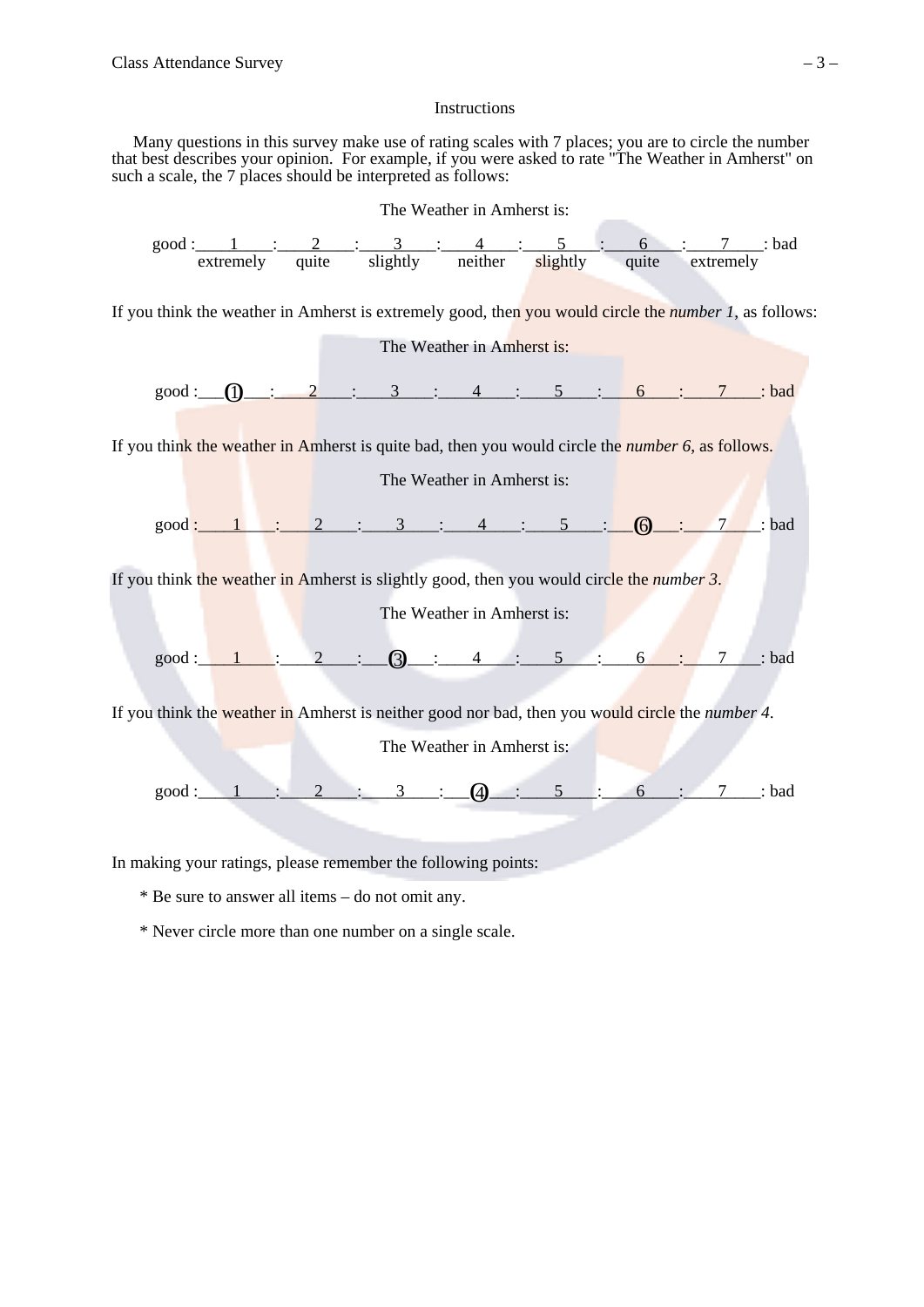#### Instructions

Many questions in this survey make use of rating scales with 7 places; you are to circle the number that best describes your opinion. For example, if you were asked to rate "The Weather in Amherst" on such a scale, the 7 places should be interpreted as follows:



\* Be sure to answer all items – do not omit any.

\* Never circle more than one number on a single scale.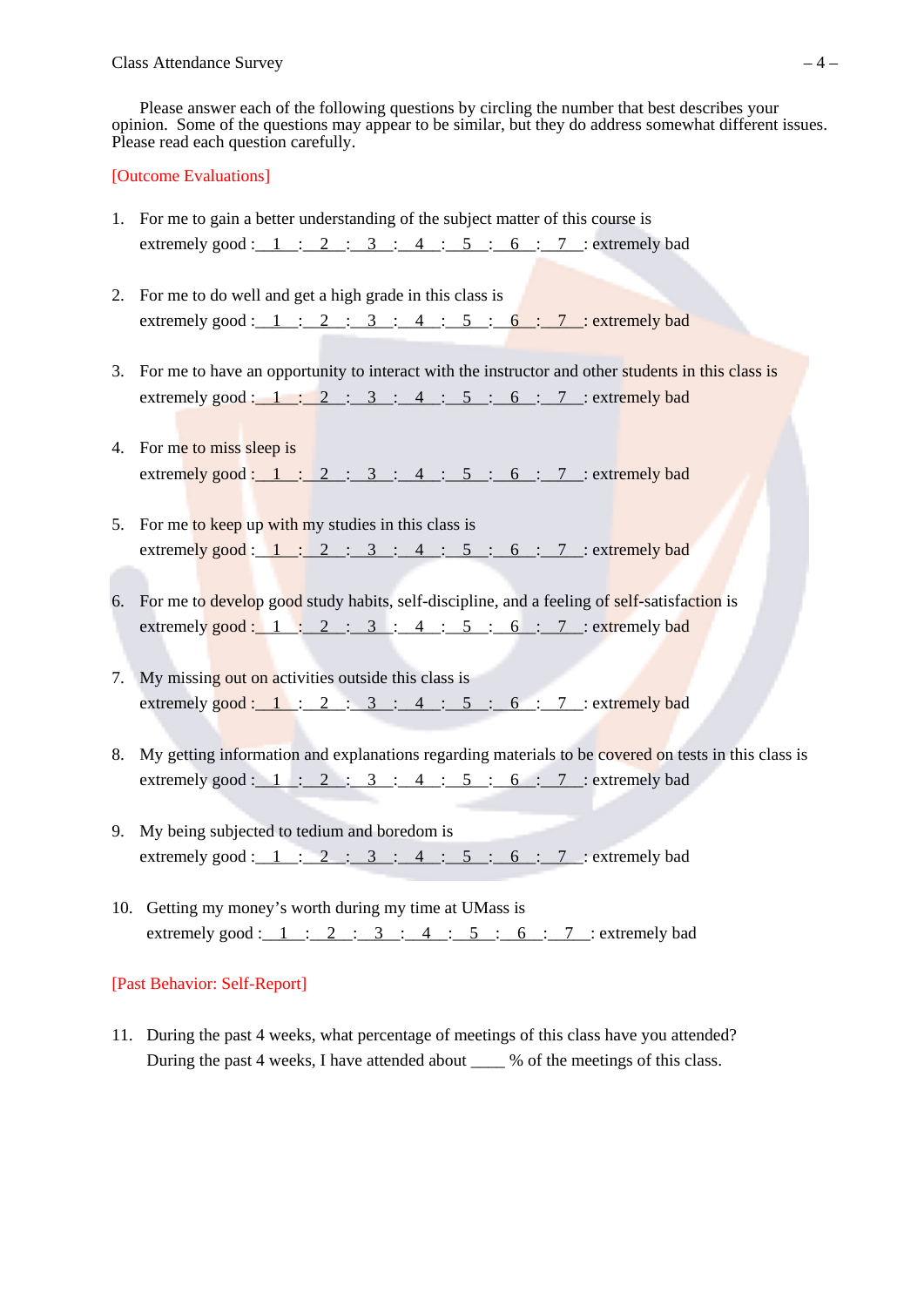Please answer each of the following questions by circling the number that best describes your opinion. Some of the questions may appear to be similar, but they do address somewhat different issues. Please read each question carefully.

#### [Outcome Evaluations]

- 1. For me to gain a better understanding of the subject matter of this course is extremely good:  $1 : 2 : 3 : 4 : 5 : 6 : 7 :$  extremely bad
- 2. For me to do well and get a high grade in this class is extremely good:  $1 : 2 : 3 : 4 : 5 : 6 : 7 :$  extremely bad
- 3. For me to have an opportunity to interact with the instructor and other students in this class is extremely good:  $1: 2: 3: 4: 5: 6: 7:$  extremely bad
- 4. For me to miss sleep is extremely good :  $1: 2: 3: 4: 5: 6: 7:$  extremely bad
- 5. For me to keep up with my studies in this class is extremely good :  $1: 2: 3: 4: 5: 6: 7:$  extremely bad
- 6. For me to develop good study habits, self-discipline, and a feeling of self-satisfaction is extremely good: 1 : 2 : 3 : 4 : 5 : 6 : 7 : extremely bad
- 7. My missing out on activities outside this class is extremely good :  $1: 2: 3: 4: 5: 6: 7:$  extremely bad
- 8. My getting information and explanations regarding materials to be covered on tests in this class is extremely good :  $1: 2: 3: 4: 5: 6: 7:$  extremely bad
- 9. My being subjected to tedium and boredom is extremely good:  $1: 2: 3: 4: 5: 6: 7:$  extremely bad
- 10. Getting my money's worth during my time at UMass is extremely good :  $1$  :  $2$  :  $3$  :  $4$  :  $5$  : 6 : 7 : extremely bad

#### [Past Behavior: Self-Report]

11. During the past 4 weeks, what percentage of meetings of this class have you attended? During the past 4 weeks, I have attended about \_\_\_\_ % of the meetings of this class.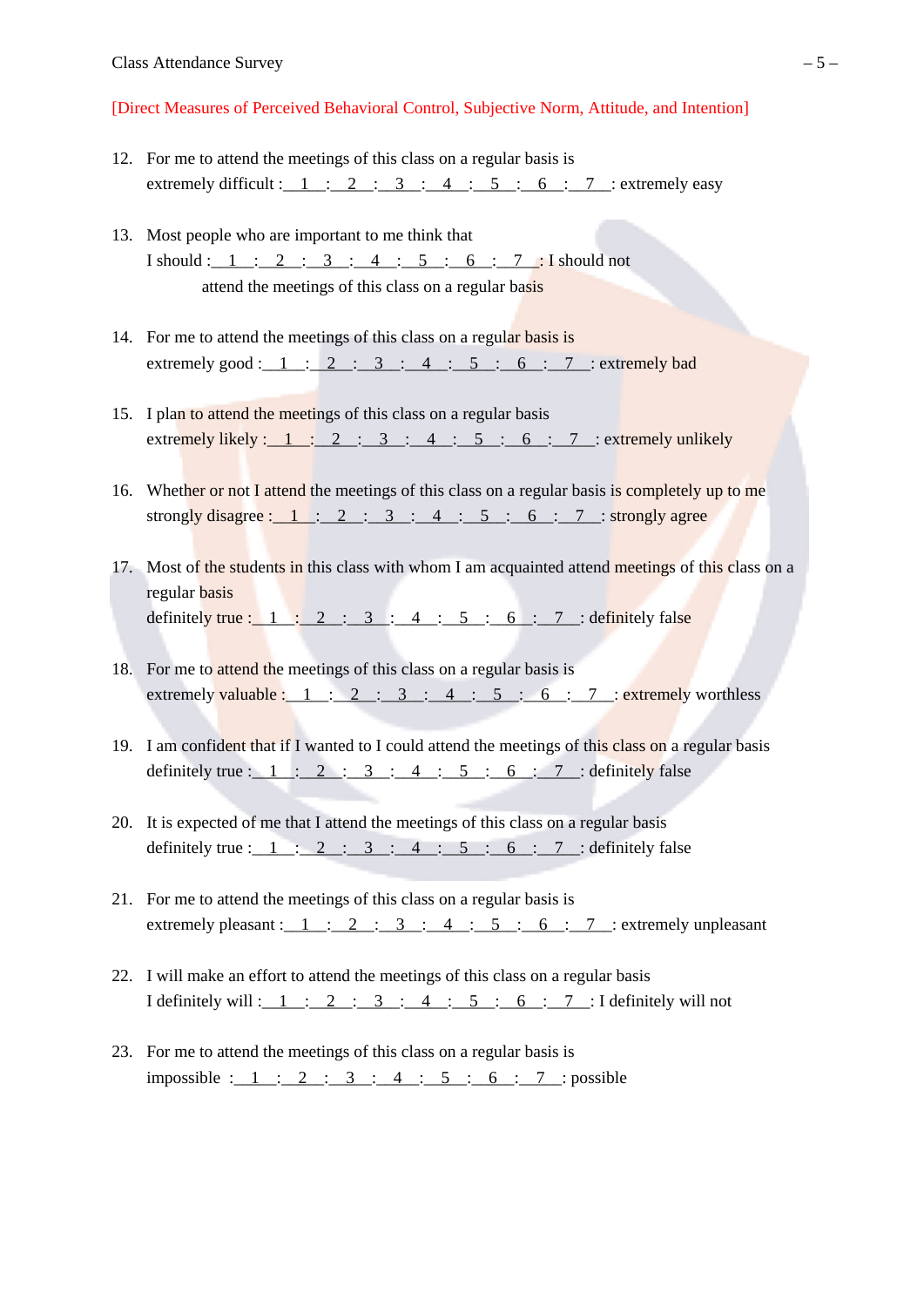[Direct Measures of Perceived Behavioral Control, Subjective Norm, Attitude, and Intention]

- 12. For me to attend the meetings of this class on a regular basis is extremely difficult :  $1$  :  $2$  :  $3$  :  $4$  :  $5$  : 6 : 7 : extremely easy
- 13. Most people who are important to me think that I should:  $1 : 2 : 3 : 4 : 5 : 6 : 7 : Ishould not$ attend the meetings of this class on a regular basis
- 14. For me to attend the meetings of this class on a regular basis is extremely good :  $1: 2: 3: 4: 5: 6: 7:$  extremely bad
- 15. I plan to attend the meetings of this class on a regular basis extremely likely:  $1: 2: 3: 4: 5: 6: 7:$  extremely unlikely
- 16. Whether or not I attend the meetings of this class on a regular basis is completely up to me strongly disagree:  $1: 2: 3: 4: 5: 6: 7: strongly agree$
- 17. Most of the students in this class with whom I am acquainted attend meetings of this class on a regular basis definitely true :  $1 \cdot 2 \cdot 3 \cdot 4 \cdot 5 \cdot 6 \cdot 7$  : definitely false
- 18. For me to attend the meetings of this class on a regular basis is extremely valuable:  $1: 2: 3: 4: 5: 6: 7:$  extremely worthless
- 19. I am confident that if I wanted to I could attend the meetings of this class on a regular basis definitely true :  $1 : 2 : 3 : 4 : 5 : 6 : 7 :$  definitely false
- 20. It is expected of me that I attend the meetings of this class on a regular basis definitely true:  $1: 2: 3: 4: 5: 6: 7:$  definitely false
- 21. For me to attend the meetings of this class on a regular basis is extremely pleasant :  $1$  :  $2$  :  $3$  :  $4$  :  $5$  : 6 : 7 : extremely unpleasant
- 22. I will make an effort to attend the meetings of this class on a regular basis I definitely will :  $1 : 2 : 3 : 4 : 5 : 6 : 7 : 1$  definitely will not
- 23. For me to attend the meetings of this class on a regular basis is impossible : 1 : 2 : 3 : 4 : 5 : 6 : 7 : possible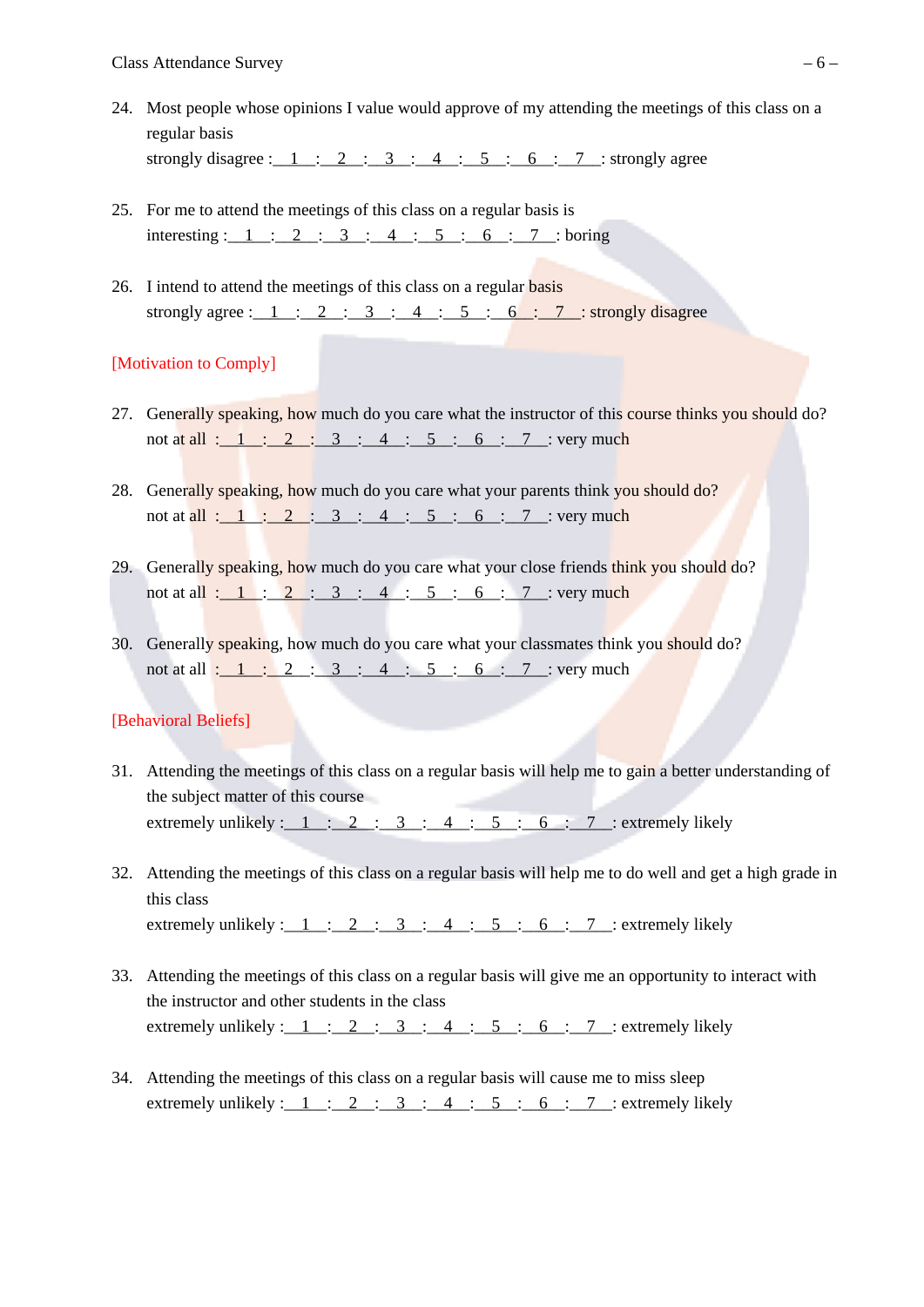- 24. Most people whose opinions I value would approve of my attending the meetings of this class on a regular basis strongly disagree :  $1$  :  $2$  :  $3$  :  $4$  :  $5$  :  $6$  : 7 : strongly agree
- 25. For me to attend the meetings of this class on a regular basis is interesting :  $1: 2: 3: 4: 5: 6: 7: 6$
- 26. I intend to attend the meetings of this class on a regular basis strongly agree :  $1: 2: 3: 4: 5: 6: 7: strongly disagree$

## [Motivation to Comply]

- 27. Generally speaking, how much do you care what the instructor of this course thinks you should do? not at all :  $1 : 2 : 3 : 4 : 5 : 6 : 7 : very much$
- 28. Generally speaking, how much do you care what your parents think you should do? not at all :  $1 : 2 : 3 : 4 : 5 : 6 : 7 : 1$
- 29. Generally speaking, how much do you care what your close friends think you should do? not at all : 1 : 2 : 3 : 4 : 5 : 6 : 7 : very much
- 30. Generally speaking, how much do you care what your classmates think you should do? not at all :  $1 : 2 : 3 : 4 : 5 : 6 : 7 :$  very much

## [Behavioral Beliefs]

- 31. Attending the meetings of this class on a regular basis will help me to gain a better understanding of the subject matter of this course extremely unlikely :  $1: 2: 3: 4: 5: 6: 7:$  extremely likely
- 32. Attending the meetings of this class on a regular basis will help me to do well and get a high grade in this class extremely unlikely :  $1$  :  $2$  :  $3$  :  $4$  :  $5$  : 6 : 7 : extremely likely
- 33. Attending the meetings of this class on a regular basis will give me an opportunity to interact with the instructor and other students in the class extremely unlikely :  $1: 2: 3: 4: 5: 6: 7:$  extremely likely
- 34. Attending the meetings of this class on a regular basis will cause me to miss sleep extremely unlikely :  $1$  :  $2$  :  $3$  :  $4$  :  $5$  : 6 : 7 : extremely likely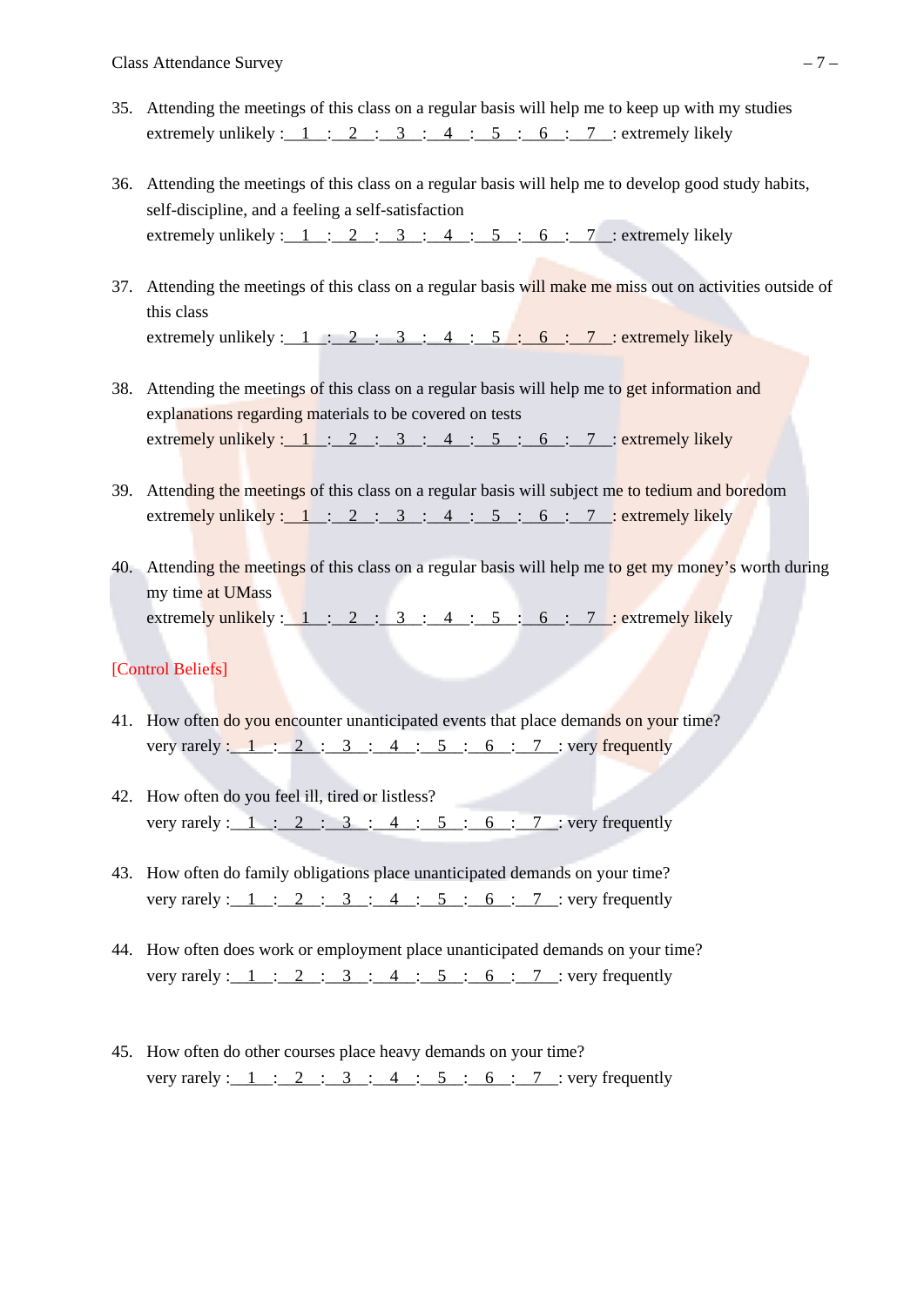- 35. Attending the meetings of this class on a regular basis will help me to keep up with my studies extremely unlikely:  $1 : 2 : 3 : 4 : 5 : 6 : 7 :$  extremely likely
- 36. Attending the meetings of this class on a regular basis will help me to develop good study habits, self-discipline, and a feeling a self-satisfaction extremely unlikely :  $1$  :  $2$  :  $3$  :  $4$  :  $5$  : 6 : 7 : extremely likely
- 37. Attending the meetings of this class on a regular basis will make me miss out on activities outside of this class extremely unlikely :  $1$  :  $2$  :  $3$  :  $4$  :  $5$  : 6 : 7 : extremely likely
- 38. Attending the meetings of this class on a regular basis will help me to get information and explanations regarding materials to be covered on tests extremely unlikely :  $1$  :  $2$  :  $3$  :  $4$  :  $5$  : 6 : 7 : extremely likely
- 39. Attending the meetings of this class on a regular basis will subject me to tedium and boredom extremely unlikely:  $1 : 2 : 3 : 4 : 5 : 6 : 7 :$  extremely likely
- 40. Attending the meetings of this class on a regular basis will help me to get my money's worth during my time at UMass extremely unlikely :  $1:2:3:4:5:6:7$ : extremely likely

## [Control Beliefs]

- 41. How often do you encounter unanticipated events that place demands on your time? very rarely :  $1: 2: 3: 4: 5: 6: 7: very frequently$
- 42. How often do you feel ill, tired or listless? very rarely :  $1: 2: 3: 4: 5: 6: 7: very frequently$
- 43. How often do family obligations place unanticipated demands on your time? very rarely :  $1 \tcdot 2 \tcdot 3 \tcdot 4 \tcdot 5 \tcdot 6 \tcdot 7$  : very frequently
- 44. How often does work or employment place unanticipated demands on your time? very rarely :  $1: 2: 3: 4: 5: 6: 7:$  very frequently
- 45. How often do other courses place heavy demands on your time? very rarely :  $1$  :  $2$  :  $3$  :  $4$  :  $5$  :  $6$  : 7 : very frequently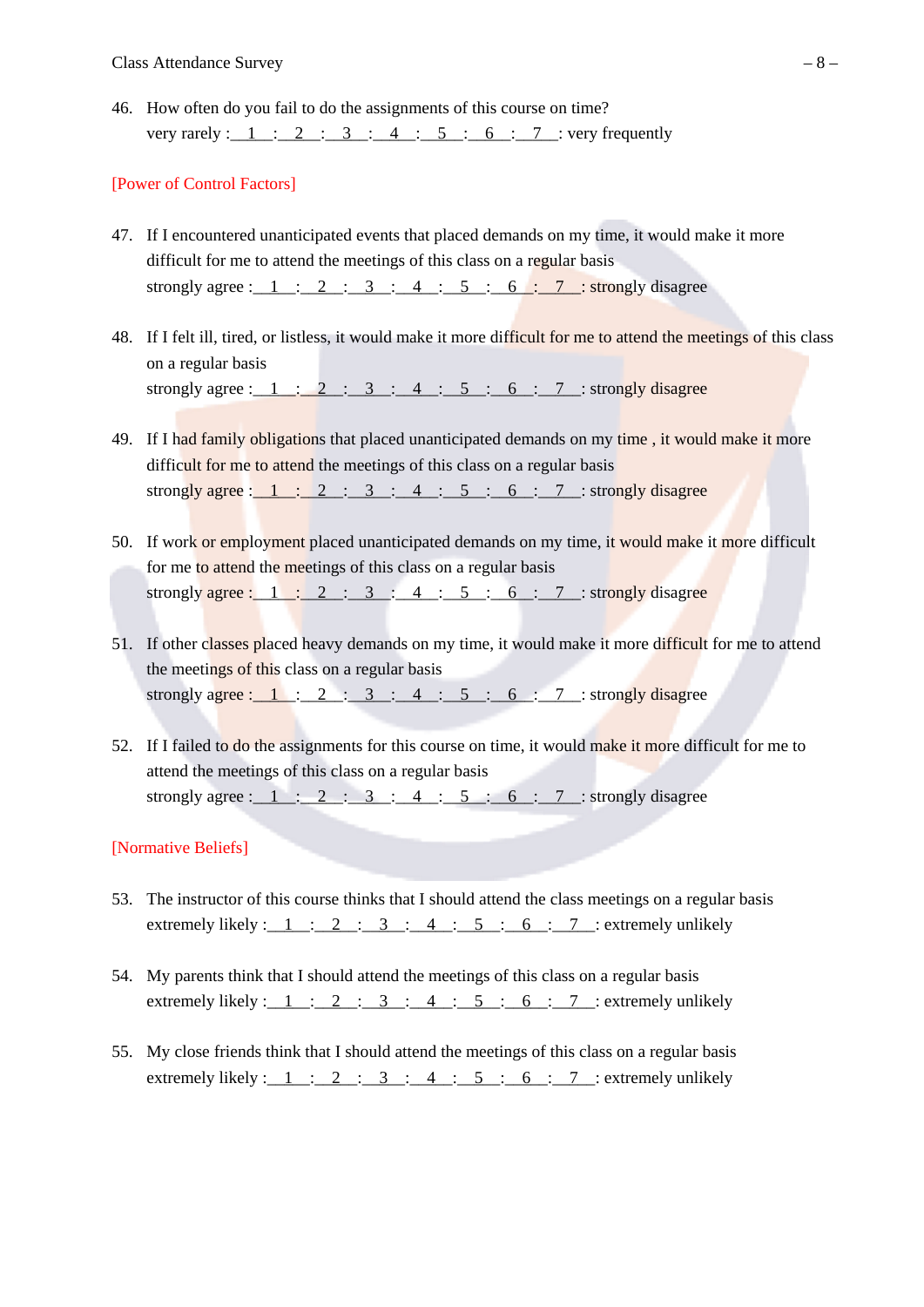46. How often do you fail to do the assignments of this course on time? very rarely:  $1 : 2 : 3 : 4 : 5 : 6 : 7 : very frequently$ 

#### [Power of Control Factors]

- 47. If I encountered unanticipated events that placed demands on my time, it would make it more difficult for me to attend the meetings of this class on a regular basis strongly agree:  $1 : 2 : 3 : 4 : 5 : 6 : 7 : strongly disagree$
- 48. If I felt ill, tired, or listless, it would make it more difficult for me to attend the meetings of this class on a regular basis strongly agree :  $1$  :  $2$  :  $3$  :  $4$  :  $5$  : 6 : 7 : strongly disagree
- 49. If I had family obligations that placed unanticipated demands on my time, it would make it more difficult for me to attend the meetings of this class on a regular basis strongly agree:  $1: 2: 3: 4: 5: 6: 7: strongly disagree$
- 50. If work or employment placed unanticipated demands on my time, it would make it more difficult for me to attend the meetings of this class on a regular basis strongly agree :  $1: 2: 3: 4: 5: 6: 7:$  strongly disagree
- 51. If other classes placed heavy demands on my time, it would make it more difficult for me to attend the meetings of this class on a regular basis strongly agree:  $1: 2: 3: 4: 5: 6: 7: strongly disagree$
- 52. If I failed to do the assignments for this course on time, it would make it more difficult for me to attend the meetings of this class on a regular basis strongly agree :  $1$  :  $2$  :  $3$  :  $4$  :  $5$  : 6 : 7 : strongly disagree

## [Normative Beliefs]

- 53. The instructor of this course thinks that I should attend the class meetings on a regular basis extremely likely :  $1: 2: 3: 4: 5: 6: 7:$  extremely unlikely
- 54. My parents think that I should attend the meetings of this class on a regular basis extremely likely:  $1: 2: 3: 4: 5: 6: 7:$  extremely unlikely
- 55. My close friends think that I should attend the meetings of this class on a regular basis extremely likely :  $1: 2: 3: 4: 5: 6: 7:$  extremely unlikely